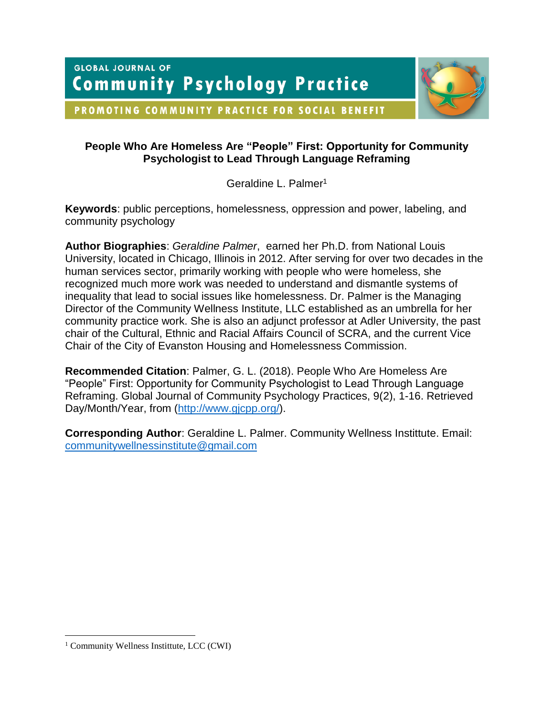**GLOBAL JOURNAL OF Community Psychology Practice** 



PROMOTING COMMUNITY PRACTICE FOR SOCIAL BENEFIT

# **People Who Are Homeless Are "People" First: Opportunity for Community Psychologist to Lead Through Language Reframing**

Geraldine L. Palmer<sup>1</sup>

**Keywords**: public perceptions, homelessness, oppression and power, labeling, and community psychology

**Author Biographies**: *Geraldine Palmer*, earned her Ph.D. from National Louis University, located in Chicago, Illinois in 2012. After serving for over two decades in the human services sector, primarily working with people who were homeless, she recognized much more work was needed to understand and dismantle systems of inequality that lead to social issues like homelessness. Dr. Palmer is the Managing Director of the Community Wellness Institute, LLC established as an umbrella for her community practice work. She is also an adjunct professor at Adler University, the past chair of the Cultural, Ethnic and Racial Affairs Council of SCRA, and the current Vice Chair of the City of Evanston Housing and Homelessness Commission.

**Recommended Citation**: Palmer, G. L. (2018). People Who Are Homeless Are "People" First: Opportunity for Community Psychologist to Lead Through Language Reframing. Global Journal of Community Psychology Practices, 9(2), 1-16. Retrieved Day/Month/Year, from [\(http://www.gjcpp.org/\)](http://www.gjcpp.org/).

**Corresponding Author**: Geraldine L. Palmer. Community Wellness Instittute. Email: [communitywellnessinstitute@gmail.com](mailto:communitywellnessinstitute@gmail.com)

 $\overline{a}$ 

<sup>&</sup>lt;sup>1</sup> Community Wellness Instittute, LCC (CWI)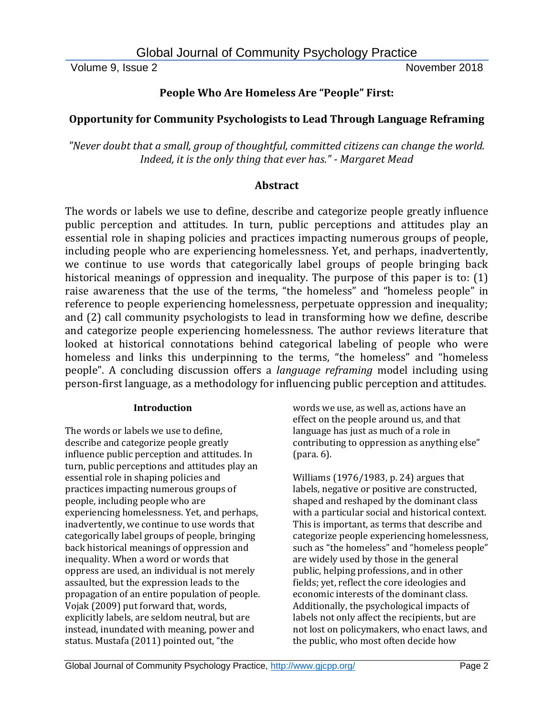# **People Who Are Homeless Are "People" First:**

# **Opportunity for Community Psychologists to Lead Through Language Reframing**

*"Never doubt that a small, group of thoughtful, committed citizens can change the world. Indeed, it is the only thing that ever has." - Margaret Mead*

## **Abstract**

The words or labels we use to define, describe and categorize people greatly influence public perception and attitudes. In turn, public perceptions and attitudes play an essential role in shaping policies and practices impacting numerous groups of people, including people who are experiencing homelessness. Yet, and perhaps, inadvertently, we continue to use words that categorically label groups of people bringing back historical meanings of oppression and inequality. The purpose of this paper is to: (1) raise awareness that the use of the terms, "the homeless" and "homeless people" in reference to people experiencing homelessness, perpetuate oppression and inequality; and (2) call community psychologists to lead in transforming how we define, describe and categorize people experiencing homelessness. The author reviews literature that looked at historical connotations behind categorical labeling of people who were homeless and links this underpinning to the terms, "the homeless" and "homeless people". A concluding discussion offers a *language reframing* model including using person-first language, as a methodology for influencing public perception and attitudes.

## **Introduction**

The words or labels we use to define, describe and categorize people greatly influence public perception and attitudes. In turn, public perceptions and attitudes play an essential role in shaping policies and practices impacting numerous groups of people, including people who are experiencing homelessness. Yet, and perhaps, inadvertently, we continue to use words that categorically label groups of people, bringing back historical meanings of oppression and inequality. When a word or words that oppress are used, an individual is not merely assaulted, but the expression leads to the propagation of an entire population of people. Vojak (2009) put forward that, words, explicitly labels, are seldom neutral, but are instead, inundated with meaning, power and status. Mustafa (2011) pointed out, "the

words we use, as well as, actions have an effect on the people around us, and that language has just as much of a role in contributing to oppression as anything else" (para. 6).

Williams (1976/1983, p. 24) argues that labels, negative or positive are constructed, shaped and reshaped by the dominant class with a particular social and historical context. This is important, as terms that describe and categorize people experiencing homelessness, such as "the homeless" and "homeless people" are widely used by those in the general public, helping professions, and in other fields; yet, reflect the core ideologies and economic interests of the dominant class. Additionally, the psychological impacts of labels not only affect the recipients, but are not lost on policymakers, who enact laws, and the public, who most often decide how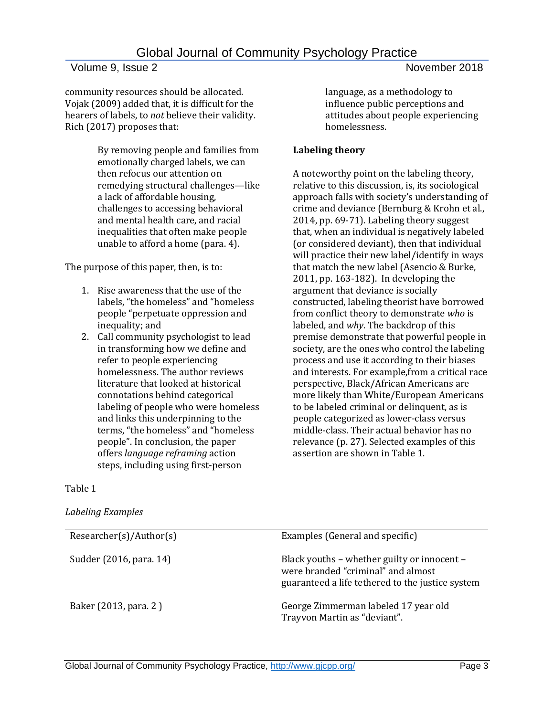community resources should be allocated. Vojak (2009) added that, it is difficult for the hearers of labels, to *not* believe their validity. Rich (2017) proposes that:

> By removing people and families from emotionally charged labels, we can then refocus our attention on remedying structural challenges—like a lack of affordable housing, challenges to accessing behavioral and mental health care, and racial inequalities that often make people unable to afford a home (para. 4).

The purpose of this paper, then, is to:

- 1. Rise awareness that the use of the labels, "the homeless" and "homeless people "perpetuate oppression and inequality; and
- 2. Call community psychologist to lead in transforming how we define and refer to people experiencing homelessness. The author reviews literature that looked at historical connotations behind categorical labeling of people who were homeless and links this underpinning to the terms, "the homeless" and "homeless people". In conclusion, the paper offers *language reframing* action steps, including using first-person

language, as a methodology to influence public perceptions and attitudes about people experiencing homelessness.

### **Labeling theory**

A noteworthy point on the labeling theory, relative to this discussion, is, its sociological approach falls with society's understanding of crime and deviance (Bernburg & Krohn et al., 2014, pp. 69-71). Labeling theory suggest that, when an individual is negatively labeled (or considered deviant), then that individual will practice their new label/identify in ways that match the new label (Asencio & Burke, 2011, pp. 163-182). In developing the argument that deviance is socially constructed, labeling theorist have borrowed from conflict theory to demonstrate *who* is labeled, and *why*. The backdrop of this premise demonstrate that powerful people in society, are the ones who control the labeling process and use it according to their biases and interests. For example,from a critical race perspective, Black/African Americans are more likely than White/European Americans to be labeled criminal or delinquent, as is people categorized as lower-class versus middle-class. Their actual behavior has no relevance (p. 27). Selected examples of this assertion are shown in Table 1.

#### Table 1

#### *Labeling Examples*

| Researcher(s)/Author(s) | Examples (General and specific)                                                                                                       |
|-------------------------|---------------------------------------------------------------------------------------------------------------------------------------|
| Sudder (2016, para. 14) | Black youths - whether guilty or innocent -<br>were branded "criminal" and almost<br>guaranteed a life tethered to the justice system |
| Baker (2013, para. 2)   | George Zimmerman labeled 17 year old<br>Trayvon Martin as "deviant".                                                                  |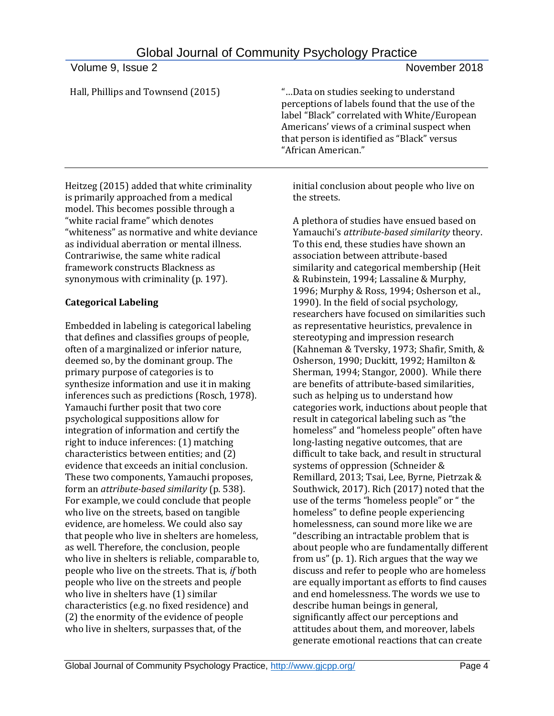| <b>VUILIIG J. ISSUG Z</b>                   | <b>INUVUIIINUI ZUIU</b>                                                                                                                                                                                                                                        |
|---------------------------------------------|----------------------------------------------------------------------------------------------------------------------------------------------------------------------------------------------------------------------------------------------------------------|
| Hall, Phillips and Townsend (2015)          | "Data on studies seeking to understand<br>perceptions of labels found that the use of the<br>label "Black" correlated with White/European<br>Americans' views of a criminal suspect when<br>that person is identified as "Black" versus<br>"African American." |
| Heitzeg (2015) added that white criminality | initial conclusion about people who live on                                                                                                                                                                                                                    |

Heitzeg (2015) added that white criminality is primarily approached from a medical model. This becomes possible through a "white racial frame" which denotes "whiteness" as normative and white deviance as individual aberration or mental illness. Contrariwise, the same white radical framework constructs Blackness as synonymous with criminality (p. 197).

# **Categorical Labeling**

Embedded in labeling is categorical labeling that defines and classifies groups of people, often of a marginalized or inferior nature, deemed so, by the dominant group. The primary purpose of categories is to synthesize information and use it in making inferences such as predictions (Rosch, 1978). Yamauchi further posit that two core psychological suppositions allow for integration of information and certify the right to induce inferences: (1) matching characteristics between entities; and (2) evidence that exceeds an initial conclusion. These two components, Yamauchi proposes, form an *attribute-based similarity* (p. 538). For example, we could conclude that people who live on the streets, based on tangible evidence, are homeless. We could also say that people who live in shelters are homeless, as well. Therefore, the conclusion, people who live in shelters is reliable, comparable to, people who live on the streets. That is, *if* both people who live on the streets and people who live in shelters have (1) similar characteristics (e.g. no fixed residence) and (2) the enormity of the evidence of people who live in shelters, surpasses that, of the

initial conclusion about people who live on the streets.

A plethora of studies have ensued based on Yamauchi's *attribute-based similarity* theory. To this end, these studies have shown an association between attribute-based similarity and categorical membership (Heit & Rubinstein, 1994; Lassaline & Murphy, 1996; Murphy & Ross, 1994; Osherson et al., 1990). In the field of social psychology, researchers have focused on similarities such as representative heuristics, prevalence in stereotyping and impression research (Kahneman & Tversky, 1973; Shafir, Smith, & Osherson, 1990; Duckitt, 1992; Hamilton & Sherman, 1994; Stangor, 2000). While there are benefits of attribute-based similarities, such as helping us to understand how categories work, inductions about people that result in categorical labeling such as "the homeless" and "homeless people" often have long-lasting negative outcomes, that are difficult to take back, and result in structural systems of oppression (Schneider & Remillard, 2013; Tsai, Lee, Byrne, Pietrzak & Southwick, 2017). Rich (2017) noted that the use of the terms "homeless people" or " the homeless" to define people experiencing homelessness, can sound more like we are "describing an intractable problem that is about people who are fundamentally different from us" (p. 1). Rich argues that the way we discuss and refer to people who are homeless are equally important as efforts to find causes and end homelessness. The words we use to describe human beings in general, significantly affect our perceptions and attitudes about them, and moreover, labels generate emotional reactions that can create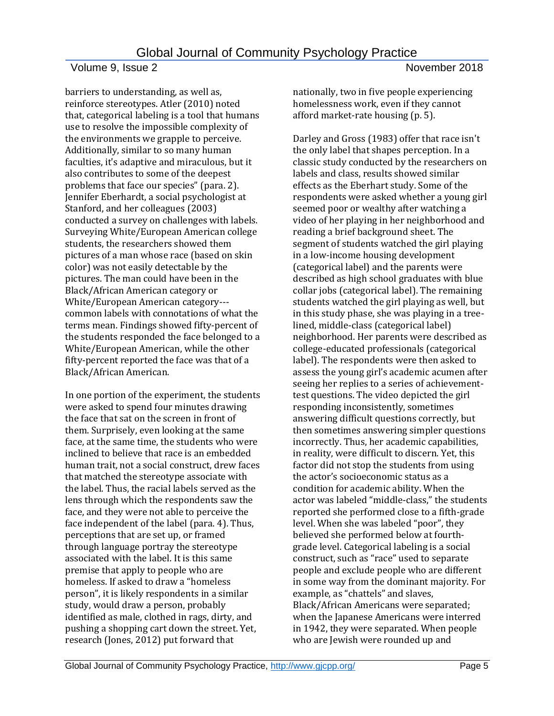barriers to understanding, as well as, reinforce stereotypes. Atler (2010) noted that, categorical labeling is a tool that humans use to resolve the impossible complexity of the environments we grapple to perceive. Additionally, similar to so many human faculties, it's adaptive and miraculous, but it also contributes to some of the deepest problems that face our species" (para. 2). Jennifer Eberhardt, a social psychologist at Stanford, and her colleagues (2003) conducted a survey on challenges with labels. Surveying White/European American college students, the researchers showed them pictures of a man whose race (based on skin color) was not easily detectable by the pictures. The man could have been in the Black/African American category or White/European American category-- common labels with connotations of what the terms mean. Findings showed fifty-percent of the students responded the face belonged to a White/European American, while the other fifty-percent reported the face was that of a Black/African American.

In one portion of the experiment, the students were asked to spend four minutes drawing the face that sat on the screen in front of them. Surprisely, even looking at the same face, at the same time, the students who were inclined to believe that race is an embedded human trait, not a social construct, drew faces that matched the stereotype associate with the label. Thus, the racial labels served as the lens through which the respondents saw the face, and they were not able to perceive the face independent of the label (para. 4). Thus, perceptions that are set up, or framed through language portray the stereotype associated with the label. It is this same premise that apply to people who are homeless. If asked to draw a "homeless person", it is likely respondents in a similar study, would draw a person, probably identified as male, clothed in rags, dirty, and pushing a shopping cart down the street. Yet, research (Jones, 2012) put forward that

nationally, two in five people experiencing homelessness work, even if they cannot afford market-rate housing (p. 5).

Darley and Gross (1983) offer that race isn't the only label that shapes perception. In a classic study conducted by the researchers on labels and class, results showed similar effects as the Eberhart study. Some of the respondents were asked whether a young girl seemed poor or wealthy after watching a video of her playing in her neighborhood and reading a brief background sheet. The segment of students watched the girl playing in a low-income housing development (categorical label) and the parents were described as high school graduates with blue collar jobs (categorical label). The remaining students watched the girl playing as well, but in this study phase, she was playing in a treelined, middle-class (categorical label) neighborhood. Her parents were described as college-educated professionals (categorical label). The respondents were then asked to assess the young girl's academic acumen after seeing her replies to a series of achievementtest questions. The video depicted the girl responding inconsistently, sometimes answering difficult questions correctly, but then sometimes answering simpler questions incorrectly. Thus, her academic capabilities, in reality, were difficult to discern. Yet, this factor did not stop the students from using the actor's socioeconomic status as a condition for academic ability. When the actor was labeled "middle-class," the students reported she performed close to a fifth-grade level. When she was labeled "poor", they believed she performed below at fourthgrade level. Categorical labeling is a social construct, such as "race" used to separate people and exclude people who are different in some way from the dominant majority. For example, as "chattels" and slaves, Black/African Americans were separated; when the Japanese Americans were interred in 1942, they were separated. When people who are Jewish were rounded up and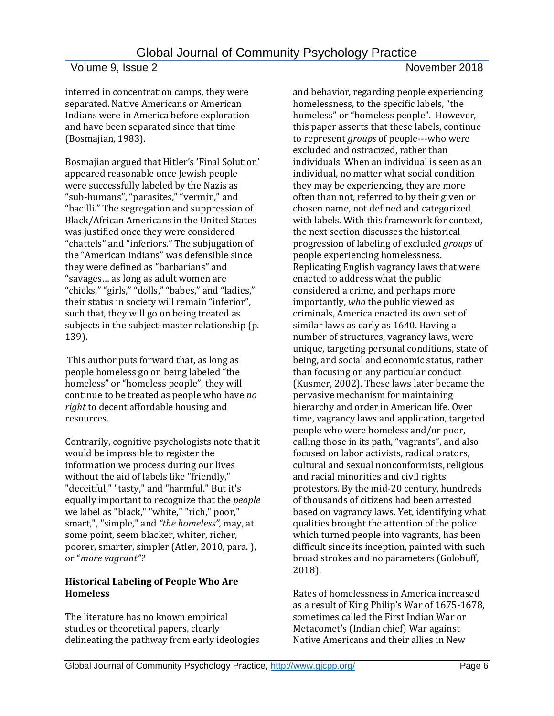interred in concentration camps, they were separated. Native Americans or American Indians were in America before exploration and have been separated since that time (Bosmajian, 1983).

Bosmajian argued that Hitler's 'Final Solution' appeared reasonable once Jewish people were successfully labeled by the Nazis as "sub-humans", "parasites," "vermin," and "bacilli." The segregation and suppression of Black/African Americans in the United States was justified once they were considered "chattels" and "inferiors." The subjugation of the "American Indians" was defensible since they were defined as "barbarians" and "savages… as long as adult women are "chicks," "girls," "dolls," "babes," and "ladies," their status in society will remain "inferior", such that, they will go on being treated as subjects in the subject-master relationship (p. 139).

This author puts forward that, as long as people homeless go on being labeled "the homeless" or "homeless people", they will continue to be treated as people who have *no right* to decent affordable housing and resources.

Contrarily, cognitive psychologists note that it would be impossible to register the information we process during our lives without the aid of labels like "friendly," "deceitful," "tasty," and "harmful." But it's equally important to recognize that the *people* we label as "black," "white," "rich," poor," smart,", "simple," and *"the homeless",* may, at some point, seem blacker, whiter, richer, poorer, smarter, simpler (Atler, 2010, para. ), or "*more vagrant"?* 

### **Historical Labeling of People Who Are Homeless**

The literature has no known empirical studies or theoretical papers, clearly delineating the pathway from early ideologies and behavior, regarding people experiencing homelessness, to the specific labels, "the homeless" or "homeless people". However, this paper asserts that these labels, continue to represent *groups* of people---who were excluded and ostracized, rather than individuals. When an individual is seen as an individual, no matter what social condition they may be experiencing, they are more often than not, referred to by their given or chosen name, not defined and categorized with labels. With this framework for context, the next section discusses the historical progression of labeling of excluded *groups* of people experiencing homelessness. Replicating English vagrancy laws that were enacted to address what the public considered a crime, and perhaps more importantly, *who* the public viewed as criminals, America enacted its own set of similar laws as early as 1640. Having a number of structures, vagrancy laws, were unique, targeting personal conditions, state of being, and social and economic status, rather than focusing on any particular conduct (Kusmer, 2002). These laws later became the pervasive mechanism for maintaining hierarchy and order in American life. Over time, vagrancy laws and application, targeted people who were homeless and/or poor, calling those in its path, "vagrants", and also focused on labor activists, radical orators, cultural and sexual nonconformists, religious and racial minorities and civil rights protestors. By the mid-20 century, hundreds of thousands of citizens had been arrested based on vagrancy laws. Yet, identifying what qualities brought the attention of the police which turned people into vagrants, has been difficult since its inception, painted with such broad strokes and no parameters (Golobuff, 2018).

Rates of homelessness in America increased as a result of King Philip's War of 1675-1678, sometimes called the First Indian War or Metacomet's (Indian chief) War against Native Americans and their allies in New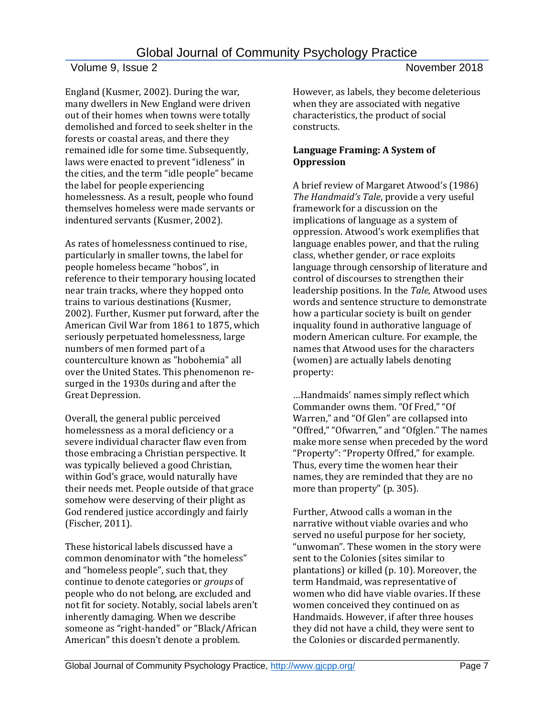England (Kusmer, 2002). During the war, many dwellers in New England were driven out of their homes when towns were totally demolished and forced to seek shelter in the forests or coastal areas, and there they remained idle for some time. Subsequently, laws were enacted to prevent "idleness" in the cities, and the term "idle people" became the label for people experiencing homelessness. As a result, people who found themselves homeless were made servants or indentured servants (Kusmer, 2002).

As rates of homelessness continued to rise, particularly in smaller towns, the label for people homeless became "hobos", in reference to their temporary housing located near train tracks, where they hopped onto trains to various destinations (Kusmer, 2002). Further, Kusmer put forward, after the American Civil War from 1861 to 1875, which seriously perpetuated homelessness, large numbers of men formed part of a counterculture known as "hobohemia" all over the United States. This phenomenon resurged in the 1930s during and after the Great Depression.

Overall, the general public perceived homelessness as a moral deficiency or a severe individual character flaw even from those embracing a Christian perspective. It was typically believed a good Christian, within God's grace, would naturally have their needs met. People outside of that grace somehow were deserving of their plight as God rendered justice accordingly and fairly (Fischer, 2011).

These historical labels discussed have a common denominator with "the homeless" and "homeless people", such that, they continue to denote categories or *groups* of people who do not belong, are excluded and not fit for society. Notably, social labels aren't inherently damaging. When we describe someone as "right-handed" or "Black/African American" this doesn't denote a problem.

However, as labels, they become deleterious when they are associated with negative characteristics, the product of social constructs.

## **Language Framing: A System of Oppression**

A brief review of Margaret Atwood's (1986) *The Handmaid's Tale*, provide a very useful framework for a discussion on the implications of language as a system of oppression. Atwood's work exemplifies that language enables power, and that the ruling class, whether gender, or race exploits language through censorship of literature and control of discourses to strengthen their leadership positions. In the *Tale,* Atwood uses words and sentence structure to demonstrate how a particular society is built on gender inquality found in authorative language of modern American culture. For example, the names that Atwood uses for the characters (women) are actually labels denoting property:

…Handmaids' names simply reflect which Commander owns them. "Of Fred," "Of Warren," and "Of Glen" are collapsed into "Offred," "Ofwarren," and "Ofglen." The names make more sense when preceded by the word "Property": "Property Offred," for example. Thus, every time the women hear their names, they are reminded that they are no more than property" (p. 305).

Further, Atwood calls a woman in the narrative without viable ovaries and who served no useful purpose for her society, "unwoman". These women in the story were sent to the Colonies (sites similar to plantations) or killed (p. 10). Moreover, the term Handmaid, was representative of women who did have viable ovaries. If these women conceived they continued on as Handmaids. However, if after three houses they did not have a child, they were sent to the Colonies or discarded permanently.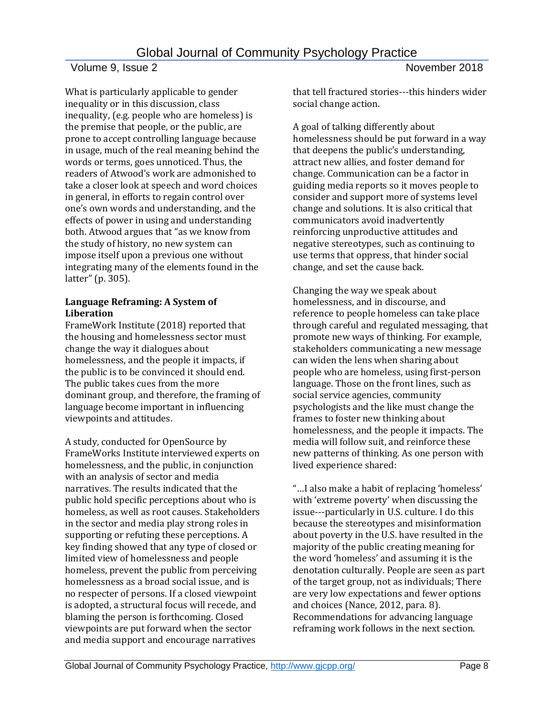What is particularly applicable to gender inequality or in this discussion, class inequality, (e.g. people who are homeless) is the premise that people, or the public, are prone to accept controlling language because in usage, much of the real meaning behind the words or terms, goes unnoticed. Thus, the readers of Atwood's work are admonished to take a closer look at speech and word choices in general, in efforts to regain control over one's own words and understanding, and the effects of power in using and understanding both. Atwood argues that "as we know from the study of history, no new system can impose itself upon a previous one without integrating many of the elements found in the latter" (p. 305).

### **Language Reframing: A System of Liberation**

FrameWork Institute (2018) reported that the housing and homelessness sector must change the way it dialogues about homelessness, and the people it impacts, if the public is to be convinced it should end. The public takes cues from the more dominant group, and therefore, the framing of language become important in influencing viewpoints and attitudes.

A study, conducted for OpenSource by FrameWorks Institute interviewed experts on homelessness, and the public, in conjunction with an analysis of sector and media narratives. The results indicated that the public hold specific perceptions about who is homeless, as well as root causes. Stakeholders in the sector and media play strong roles in supporting or refuting these perceptions. A key finding showed that any type of closed or limited view of homelessness and people homeless, prevent the public from perceiving homelessness as a broad social issue, and is no respecter of persons. If a closed viewpoint is adopted, a structural focus will recede, and blaming the person is forthcoming. Closed viewpoints are put forward when the sector and media support and encourage narratives

that tell fractured stories---this hinders wider social change action.

A goal of talking differently about homelessness should be put forward in a way that deepens the public's understanding, attract new allies, and foster demand for change. Communication can be a factor in guiding media reports so it moves people to consider and support more of systems level change and solutions. It is also critical that communicators avoid inadvertently reinforcing unproductive attitudes and negative stereotypes, such as continuing to use terms that oppress, that hinder social change, and set the cause back.

Changing the way we speak about homelessness, and in discourse, and reference to people homeless can take place through careful and regulated messaging, that promote new ways of thinking. For example, stakeholders communicating a new message can widen the lens when sharing about people who are homeless, using first-person language. Those on the front lines, such as social service agencies, community psychologists and the like must change the frames to foster new thinking about homelessness, and the people it impacts. The media will follow suit, and reinforce these new patterns of thinking. As one person with lived experience shared:

"…I also make a habit of replacing 'homeless' with 'extreme poverty' when discussing the issue---particularly in U.S. culture. I do this because the stereotypes and misinformation about poverty in the U.S. have resulted in the majority of the public creating meaning for the word 'homeless' and assuming it is the denotation culturally. People are seen as part of the target group, not as individuals; There are very low expectations and fewer options and choices (Nance, 2012, para. 8). Recommendations for advancing language reframing work follows in the next section.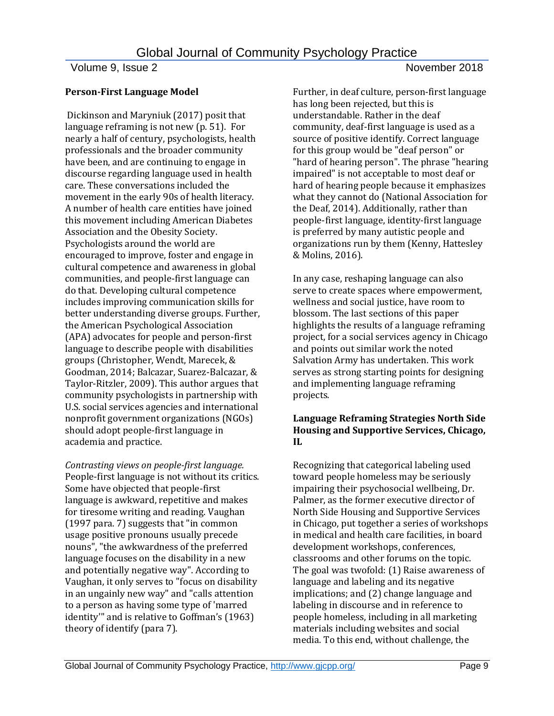### **Person-First Language Model**

Dickinson and Maryniuk (2017) posit that language reframing is not new (p. 51). For nearly a half of century, psychologists, health professionals and the broader community have been, and are continuing to engage in discourse regarding language used in health care. These conversations included the movement in the early 90s of health literacy. A number of health care entities have joined this movement including American Diabetes Association and the Obesity Society. Psychologists around the world are encouraged to improve, foster and engage in cultural competence and awareness in global communities, and people-first language can do that. Developing cultural competence includes improving communication skills for better understanding diverse groups. Further, the American Psychological Association (APA) advocates for people and person-first language to describe people with disabilities groups (Christopher, Wendt, Marecek, & Goodman, 2014; Balcazar, Suarez-Balcazar, & Taylor-Ritzler, 2009). This author argues that community psychologists in partnership with U.S. social services agencies and international nonprofit government organizations (NGOs) should adopt people-first language in academia and practice.

*Contrasting views on people-first language.*  People-first language is not without its critics. Some have objected that people-first language is awkward, repetitive and makes for tiresome writing and reading. Vaughan (1997 para. 7) suggests that "in common usage positive pronouns usually precede nouns", "the awkwardness of the preferred language focuses on the disability in a new and potentially negative way". According to Vaughan, it only serves to "focus on disability in an ungainly new way" and "calls attention to a person as having some type of 'marred identity'" and is relative to Goffman's (1963) theory of identify (para 7).

Further, in deaf culture, person-first language has long been rejected, but this is understandable. Rather in the deaf community, deaf-first language is used as a source of positive identify. Correct language for this group would be "deaf person" or "hard of hearing person". The phrase "hearing impaired" is not acceptable to most deaf or hard of hearing people because it emphasizes what they cannot do (National Association for the Deaf, 2014). Additionally, rather than people-first language, identity-first language is preferred by many autistic people and organizations run by them (Kenny, Hattesley & Molins, 2016).

In any case, reshaping language can also serve to create spaces where empowerment, wellness and social justice, have room to blossom. The last sections of this paper highlights the results of a language reframing project, for a social services agency in Chicago and points out similar work the noted Salvation Army has undertaken. This work serves as strong starting points for designing and implementing language reframing projects.

## **Language Reframing Strategies North Side Housing and Supportive Services, Chicago, IL**

Recognizing that categorical labeling used toward people homeless may be seriously impairing their psychosocial wellbeing, Dr. Palmer, as the former executive director of North Side Housing and Supportive Services in Chicago, put together a series of workshops in medical and health care facilities, in board development workshops, conferences, classrooms and other forums on the topic. The goal was twofold: (1) Raise awareness of language and labeling and its negative implications; and (2) change language and labeling in discourse and in reference to people homeless, including in all marketing materials including websites and social media. To this end, without challenge, the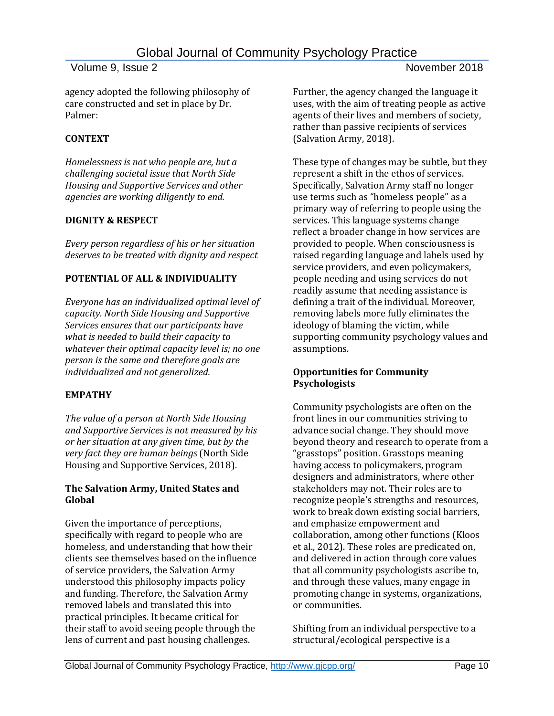agency adopted the following philosophy of care constructed and set in place by Dr. Palmer:

### **CONTEXT**

*Homelessness is not who people are, but a challenging societal issue that North Side Housing and Supportive Services and other agencies are working diligently to end.*

### **DIGNITY & RESPECT**

*Every person regardless of his or her situation deserves to be treated with dignity and respect*

## **POTENTIAL OF ALL & INDIVIDUALITY**

*Everyone has an individualized optimal level of capacity. North Side Housing and Supportive Services ensures that our participants have what is needed to build their capacity to whatever their optimal capacity level is; no one person is the same and therefore goals are individualized and not generalized.*

# **EMPATHY**

*The value of a person at North Side Housing and Supportive Services is not measured by his or her situation at any given time, but by the very fact they are human beings* (North Side Housing and Supportive Services, 2018).

#### **The Salvation Army, United States and Global**

Given the importance of perceptions, specifically with regard to people who are homeless, and understanding that how their clients see themselves based on the influence of service providers, the Salvation Army understood this philosophy impacts policy and funding. Therefore, the Salvation Army removed labels and translated this into practical principles. It became critical for their staff to avoid seeing people through the lens of current and past housing challenges.

Further, the agency changed the language it uses, with the aim of treating people as active agents of their lives and members of society, rather than passive recipients of services (Salvation Army, 2018).

These type of changes may be subtle, but they represent a shift in the ethos of services. Specifically, Salvation Army staff no longer use terms such as "homeless people" as a primary way of referring to people using the services. This language systems change reflect a broader change in how services are provided to people. When consciousness is raised regarding language and labels used by service providers, and even policymakers, people needing and using services do not readily assume that needing assistance is defining a trait of the individual. Moreover, removing labels more fully eliminates the ideology of blaming the victim, while supporting community psychology values and assumptions.

### **Opportunities for Community Psychologists**

Community psychologists are often on the front lines in our communities striving to advance social change. They should move beyond theory and research to operate from a "grasstops" position. Grasstops meaning having access to policymakers, program designers and administrators, where other stakeholders may not. Their roles are to recognize people's strengths and resources, work to break down existing social barriers, and emphasize empowerment and collaboration, among other functions (Kloos et al., 2012). These roles are predicated on, and delivered in action through core values that all community psychologists ascribe to, and through these values, many engage in promoting change in systems, organizations, or communities.

Shifting from an individual perspective to a structural/ecological perspective is a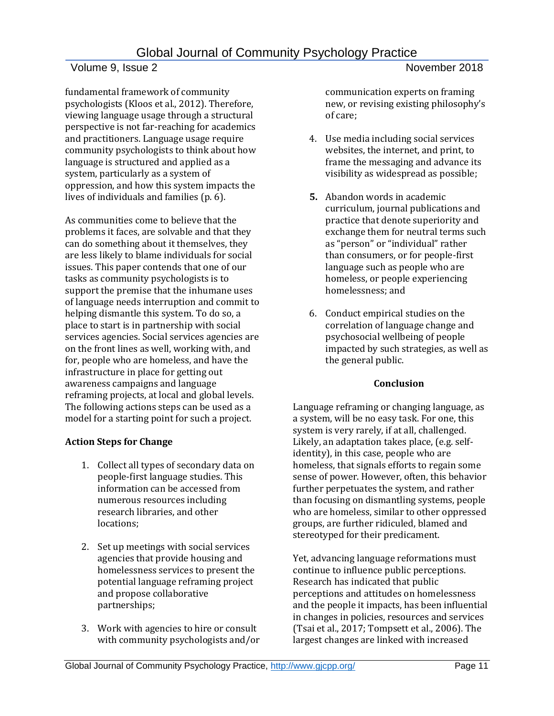fundamental framework of community psychologists (Kloos et al., 2012). Therefore, viewing language usage through a structural perspective is not far-reaching for academics and practitioners. Language usage require community psychologists to think about how language is structured and applied as a system, particularly as a system of oppression, and how this system impacts the lives of individuals and families (p. 6).

As communities come to believe that the problems it faces, are solvable and that they can do something about it themselves, they are less likely to blame individuals for social issues. This paper contends that one of our tasks as community psychologists is to support the premise that the inhumane uses of language needs interruption and commit to helping dismantle this system. To do so, a place to start is in partnership with social services agencies. Social services agencies are on the front lines as well, working with, and for, people who are homeless, and have the infrastructure in place for getting out awareness campaigns and language reframing projects, at local and global levels. The following actions steps can be used as a model for a starting point for such a project.

## **Action Steps for Change**

- 1. Collect all types of secondary data on people-first language studies. This information can be accessed from numerous resources including research libraries, and other locations;
- 2. Set up meetings with social services agencies that provide housing and homelessness services to present the potential language reframing project and propose collaborative partnerships;
- 3. Work with agencies to hire or consult with community psychologists and/or

communication experts on framing new, or revising existing philosophy's of care;

- 4. Use media including social services websites, the internet, and print, to frame the messaging and advance its visibility as widespread as possible;
- **5.** Abandon words in academic curriculum, journal publications and practice that denote superiority and exchange them for neutral terms such as "person" or "individual" rather than consumers, or for people-first language such as people who are homeless, or people experiencing homelessness; and
- 6. Conduct empirical studies on the correlation of language change and psychosocial wellbeing of people impacted by such strategies, as well as the general public.

## **Conclusion**

Language reframing or changing language, as a system, will be no easy task. For one, this system is very rarely, if at all, challenged. Likely, an adaptation takes place, (e.g. selfidentity), in this case, people who are homeless, that signals efforts to regain some sense of power. However, often, this behavior further perpetuates the system, and rather than focusing on dismantling systems, people who are homeless, similar to other oppressed groups, are further ridiculed, blamed and stereotyped for their predicament.

Yet, advancing language reformations must continue to influence public perceptions. Research has indicated that public perceptions and attitudes on homelessness and the people it impacts, has been influential in changes in policies, resources and services (Tsai et al., 2017; Tompsett et al., 2006). The largest changes are linked with increased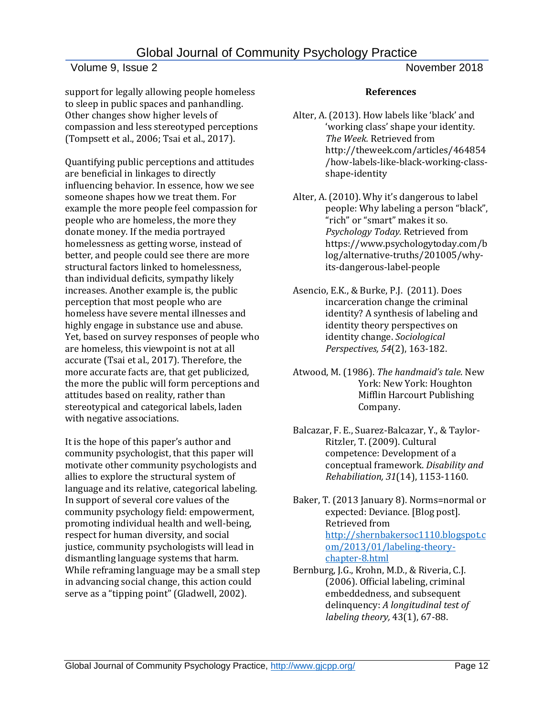### Volume 9, Issue 2 November 2018

support for legally allowing people homeless to sleep in public spaces and panhandling. Other changes show higher levels of compassion and less stereotyped perceptions (Tompsett et al., 2006; Tsai et al., 2017).

Quantifying public perceptions and attitudes are beneficial in linkages to directly influencing behavior. In essence, how we see someone shapes how we treat them. For example the more people feel compassion for people who are homeless, the more they donate money. If the media portrayed homelessness as getting worse, instead of better, and people could see there are more structural factors linked to homelessness, than individual deficits, sympathy likely increases. Another example is, the public perception that most people who are homeless have severe mental illnesses and highly engage in substance use and abuse. Yet, based on survey responses of people who are homeless, this viewpoint is not at all accurate (Tsai et al., 2017). Therefore, the more accurate facts are, that get publicized, the more the public will form perceptions and attitudes based on reality, rather than stereotypical and categorical labels, laden with negative associations.

It is the hope of this paper's author and community psychologist, that this paper will motivate other community psychologists and allies to explore the structural system of language and its relative, categorical labeling. In support of several core values of the community psychology field: empowerment, promoting individual health and well-being, respect for human diversity, and social justice, community psychologists will lead in dismantling language systems that harm. While reframing language may be a small step in advancing social change, this action could serve as a "tipping point" (Gladwell, 2002).

#### **References**

- Alter, A. (2013). How labels like 'black' and 'working class' shape your identity. *The Week.* Retrieved from http://theweek.com/articles/464854 /how-labels-like-black-working-classshape-identity
- Alter, A. (2010). Why it's dangerous to label people: Why labeling a person "black", "rich" or "smart" makes it so. *Psychology Today.* Retrieved from [https://www.psychologytoday.com/b](https://www.psychologytoday.com/blog/alternative-truths/201005/why-its-dangerous-label-people) [log/alternative-truths/201005/why](https://www.psychologytoday.com/blog/alternative-truths/201005/why-its-dangerous-label-people)[its-dangerous-label-people](https://www.psychologytoday.com/blog/alternative-truths/201005/why-its-dangerous-label-people)
- Asencio, E.K., & Burke, P.J. (2011). Does incarceration change the criminal identity? A synthesis of labeling and identity theory perspectives on identity change. *Sociological Perspectives, 54*(2), 163-182.
- Atwood, M. (1986). *The handmaid's tale*. New York: New York: Houghton Mifflin Harcourt Publishing Company.
- Balcazar, F. E., Suarez-Balcazar, Y., & Taylor-Ritzler, T. (2009). Cultural competence: Development of a conceptual framework. *Disability and Rehabiliation, 31*(14), 1153-1160.
- Baker, T. (2013 January 8). Norms=normal or expected: Deviance. [Blog post]. Retrieved from [http://shernbakersoc1110.blogspot.c](http://shernbakersoc1110.blogspot.com/2013/01/labeling-theory-chapter-8.html) [om/2013/01/labeling-theory](http://shernbakersoc1110.blogspot.com/2013/01/labeling-theory-chapter-8.html)[chapter-8.html](http://shernbakersoc1110.blogspot.com/2013/01/labeling-theory-chapter-8.html)
- Bernburg, J.G., Krohn, M.D., & Riveria, C.J. (2006). Official labeling, criminal embeddedness, and subsequent delinquency: *A longitudinal test of labeling theory,* 43(1), 67-88.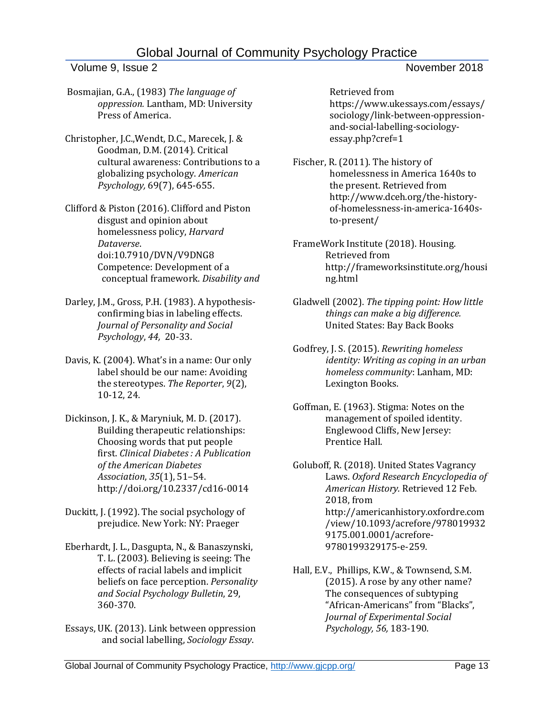## Volume 9, Issue 2 November 2018

- Bosmajian, G.A., (1983) *The language of oppression.* Lantham, MD: University Press of America.
- Christopher, J.C.,Wendt, D.C., Marecek, J. & Goodman, D.M. (2014). Critical cultural awareness: Contributions to a globalizing psychology. *American Psychology,* 69(7), 645-655.
- Clifford & Piston (2016). Clifford and Piston disgust and opinion about homelessness policy, *Harvard Dataverse*. [doi:10.7910/DVN/V9DNG8](http://dx.doi.org/10.7910/DVN/V9DNG8) Competence: Development of a conceptual framework. *Disability and*
- Darley, J.M., Gross, P.H. (1983). A hypothesisconfirming bias in labeling effects. *Journal of [Personality](https://www.psychologytoday.com/basics/personality) and Social Psychology*, *44,* 20-33.
- Davis, K. (2004). What's in a name: Our only label should be our name: Avoiding the stereotypes. *The Reporter*, *9*(2), 10-12, 24.
- Dickinson, J. K., & Maryniuk, M. D. (2017). Building therapeutic relationships: Choosing words that put people first. *Clinical Diabetes : A Publication of the American Diabetes Association*, *35*(1), 51–54. <http://doi.org/10.2337/cd16-0014>
- Duckitt, J. (1992). The social psychology of prejudice. New York: NY: Praeger
- Eberhardt, J. L., Dasgupta, N., & Banaszynski, T. L. (2003). Believing is seeing: The effects of racial labels and implicit beliefs on face perception. *Personality and Social Psychology Bulletin*, 29, 360-370.
- Essays, UK. (2013). Link between oppression and social labelling, *Sociology Essay*.

Retrieved from [https://www.ukessays.com/essays/](https://www.ukessays.com/essays/sociology/link-between-oppression-and-social-labelling-sociology-essay.php?cref=1) [sociology/link-between-oppression](https://www.ukessays.com/essays/sociology/link-between-oppression-and-social-labelling-sociology-essay.php?cref=1)[and-social-labelling-sociology](https://www.ukessays.com/essays/sociology/link-between-oppression-and-social-labelling-sociology-essay.php?cref=1)[essay.php?cref=1](https://www.ukessays.com/essays/sociology/link-between-oppression-and-social-labelling-sociology-essay.php?cref=1)

Fischer, R. (2011). The history of homelessness in America 1640s to the present. Retrieved from http://www.dceh.org/the-historyof-homelessness-in-america-1640sto-present/

FrameWork Institute (2018). Housing. Retrieved from http://frameworksinstitute.org/housi ng.html

- Gladwell (2002). *The tipping point: How little things can make a big difference.*  United States: Bay Back Books
- Godfrey, J. S. (2015). *Rewriting homeless identity: Writing as coping in an urban homeless community*: Lanham, MD: Lexington Books.
- Goffman, E. (1963). Stigma: Notes on the management of spoiled identity. Englewood Cliffs, New Jersey: Prentice Hall.
- Goluboff, R. (2018). United States Vagrancy Laws. *Oxford Research Encyclopedia of American History.* Retrieved 12 Feb. 2018, from [http://americanhistory.oxfordre.com](http://americanhistory.oxfordre.com/view/10.1093/acrefore/9780199329175.001.0001/acrefore-9780199329175-e-259) [/view/10.1093/acrefore/978019932](http://americanhistory.oxfordre.com/view/10.1093/acrefore/9780199329175.001.0001/acrefore-9780199329175-e-259) [9175.001.0001/acrefore-](http://americanhistory.oxfordre.com/view/10.1093/acrefore/9780199329175.001.0001/acrefore-9780199329175-e-259)[9780199329175-e-259.](http://americanhistory.oxfordre.com/view/10.1093/acrefore/9780199329175.001.0001/acrefore-9780199329175-e-259)
- Hall, E.V., Phillips, K.W., & Townsend, S.M. (2015). A rose by any other name? The consequences of subtyping "African-Americans" from "Blacks", *Journal of Experimental Social Psychology, 56,* 183-190.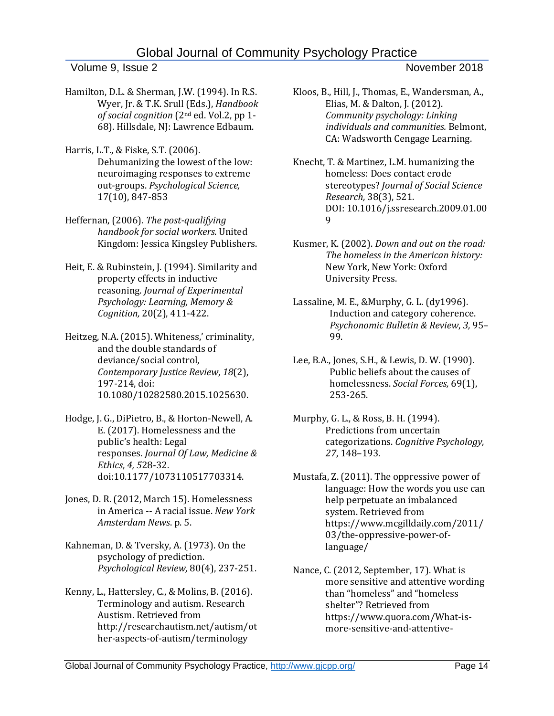Volume 9, Issue 2 November 2018

- Hamilton, D.L. & Sherman, J.W. (1994). In R.S. Wyer, Jr. & T.K. Srull (Eds.), *Handbook of social cognition* (2nd ed. Vol.2, pp 1- 68). Hillsdale, NJ: Lawrence Edbaum.
- Harris, L.T., & Fiske, S.T. (2006). Dehumanizing the lowest of the low: neuroimaging responses to extreme out-groups. *Psychological Science,*  17(10), 847-853
- Heffernan, (2006). *The post-qualifying handbook for social workers.* United Kingdom: Jessica Kingsley Publishers.
- Heit, E. & Rubinstein, J. (1994). Similarity and property effects in inductive reasoning. *Journal of Experimental Psychology: Learning, Memory & Cognition,* 20(2), 411-422.
- Heitzeg, N.A. (2015). Whiteness,' criminality, and the double standards of deviance/social control, *Contemporary Justice Review*, *18*(2), 197-214, doi: 10.1080/10282580.2015.1025630.
- Hodge, J. G., DiPietro, B., & Horton-Newell, A. E. (2017). Homelessness and the public's health: Legal responses. *Journal Of Law, Medicine & Ethics*, *4, 5*28-32. doi:10.1177/1073110517703314.
- Jones, D. R. (2012, March 15). Homelessness in America -- A racial issue. *New York Amsterdam News*. p. 5.
- Kahneman, D. & Tversky, A. (1973). On the psychology of prediction. *Psychological Review,* 80(4), 237-251.
- Kenny, L., Hattersley, C., & Molins, B. (2016). Terminology and autism. Research Austism. Retrieved from http://researchautism.net/autism/ot her-aspects-of-autism/terminology
- Kloos, B., Hill, J., Thomas, E., Wandersman, A., Elias, M. & Dalton, J. (2012). *Community psychology: Linking individuals and communities.* Belmont, CA: Wadsworth Cengage Learning.
- Knecht, T. & Martinez, L.M. humanizing the homeless: Does contact erode stereotypes? *Journal of Social Science Research,* 38(3), 521. DOI: [10.1016/j.ssresearch.2009.01.00](http://dx.doi.org/10.1016/j.ssresearch.2009.01.009) [9](http://dx.doi.org/10.1016/j.ssresearch.2009.01.009)
- Kusmer, K. (2002). *Down and out on the road: The homeless in the American history:*  New York, New York: Oxford University Press.
- Lassaline, M. E., &Murphy, G. L. (dy1996). Induction and category coherence. *Psychonomic Bulletin & Review*, *3,* 95– 99.
- Lee, B.A., Jones, S.H., & Lewis, D. W. (1990). Public beliefs about the causes of homelessness. *Social Forces,* 69(1), 253-265.
- Murphy, G. L., & Ross, B. H. (1994). Predictions from uncertain categorizations. *Cognitive Psychology, 27*, 148–193.
- Mustafa, Z. (2011). The oppressive power of language: How the words you use can help perpetuate an imbalanced system. Retrieved from [https://www.mcgilldaily.com/2011/](https://www.mcgilldaily.com/2011/03/the-oppressive-power-of-language/) [03/the-oppressive-power-of](https://www.mcgilldaily.com/2011/03/the-oppressive-power-of-language/)[language/](https://www.mcgilldaily.com/2011/03/the-oppressive-power-of-language/)
- Nance, C. (2012, September, 17). What is more sensitive and attentive wording than "homeless" and "homeless shelter"? Retrieved from https://www.quora.com/What-ismore-sensitive-and-attentive-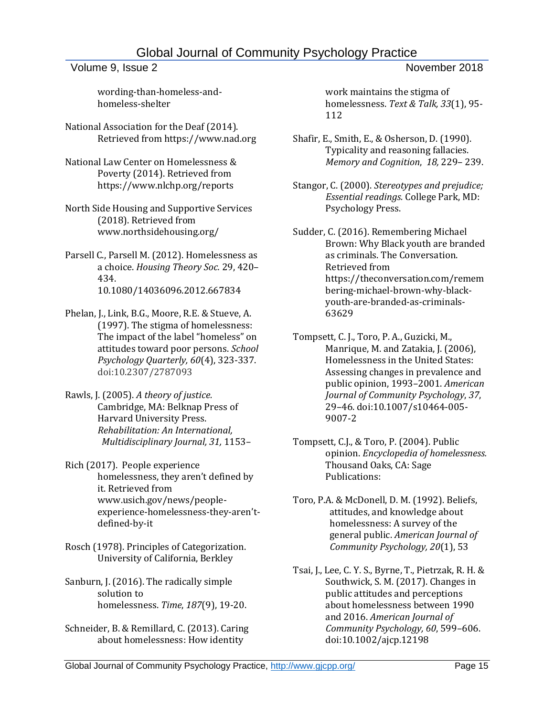### Volume 9, Issue 2 November 2018

wording-than-homeless-andhomeless-shelter

National Association for the Deaf (2014). Retrieved from https://www.nad.org

National Law Center on Homelessness & Poverty (2014). Retrieved from https://www.nlchp.org/reports

- North Side Housing and Supportive Services (2018). Retrieved from www.northsidehousing.org/
- Parsell C., Parsell M. (2012). Homelessness as a choice. *Housing Theory Soc.* 29, 420– 434. 10.1080/14036096.2012.667834
- Phelan, J., Link, B.G., Moore, R.E. & Stueve, A. (1997). The stigma of homelessness: The impact of the label "homeless" on attitudes toward poor persons. *School Psychology Quarterly, 60*(4), 323-337. doi:10.2307/2787093
- Rawls, J. (2005). *A theory of justice.*  Cambridge, MA: Belknap Press of Harvard University Press. *Rehabilitation: An International, Multidisciplinary Journal, 31,* 1153–
- Rich (2017). People experience homelessness, they aren't defined by it. Retrieved from [www.usich.gov/news/people](http://www.usich.gov/news/people-experience-homelessness-they-aren)[experience-homelessness-they-](http://www.usich.gov/news/people-experience-homelessness-they-aren)aren't[defined-by-it](http://www.usich.gov/news/people-experience-homelessness-they-aren)
- Rosch (1978). Principles of Categorization. University of California, Berkley
- Sanburn, J. (2016). The radically simple solution to homelessness. *Time*, *187*(9), 19-20.
- Schneider, B. & Remillard, C. (2013). Caring about homelessness: How identity

work maintains the stigma of homelessness. *Text & Talk, 33*(1), 95- 112

- Shafir, E., Smith, E., & Osherson, D. (1990). Typicality and reasoning fallacies. *Memory and Cognition*, *18,* 229– 239.
- Stangor, C. (2000). *Stereotypes and prejudice; Essential readings.* College Park, MD: Psychology Press.
- Sudder, C. (2016). Remembering Michael Brown: Why Black youth are branded as criminals. The Conversation. Retrieved from https://theconversation.com/remem bering-michael-brown-why-blackyouth-are-branded-as-criminals-63629
- Tompsett, C. J., Toro, P. A., Guzicki, M., Manrique, M. and Zatakia, J. (2006), Homelessness in the United States: Assessing changes in prevalence and public opinion, 1993–2001. *American Journal of Community Psychology*, *37*, 29–46. doi:10.1007/s10464-005- 9007-2
- Tompsett, C.J., & Toro, P. (2004). Public opinion. *Encyclopedia of homelessness.* Thousand Oaks, CA: Sage Publications:
- Toro, P.A. & McDonell, D. M. (1992). Beliefs, attitudes, and knowledge about homelessness: A survey of the general public. *American Journal of Community Psychology, 20*(1), 53
- Tsai, J., Lee, C. Y. S., Byrne, T., Pietrzak, R. H. & Southwick, S. M. (2017). Changes in public attitudes and perceptions about homelessness between 1990 and 2016. *American Journal of Community Psychology, 60*, 599–606. doi:10.1002/ajcp.12198